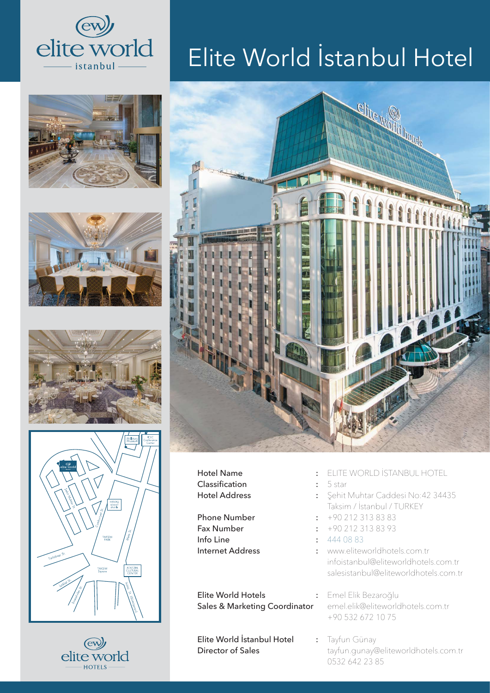











## Elite World İstanbul Hotel



Hotel Name : Classification : Hotel Address :

Phone Number : The state of the state of the state of the state of the state of the state of the state of the state of the state of the state of the state of the state of the state of the state of the state of the state of Fax Number : Info Line : Internet Address :

Elite World Hotels : Sales & Marketing Coordinator

Elite World İstanbul Hotel : Director of Sales

- ELITE WORLD İSTANBUL HOTEL
- 5 star
- Şehit Muhtar Caddesi No:42 34435 Taksim / İstanbul / TURKEY
- +90 212 313 83 83
- $+90$  212 313 83 93
- $\pm 4440883$
- www.eliteworldhotels.com.tr infoistanbul@eliteworldhotels.com.tr salesistanbul@eliteworldhotels.com.tr

Emel Elik Bezaroğlu emel.elik@eliteworldhotels.com.tr +90 532 672 10 75

Tayfun Günay tayfun.gunay@eliteworldhotels.com.tr 0532 642 23 85